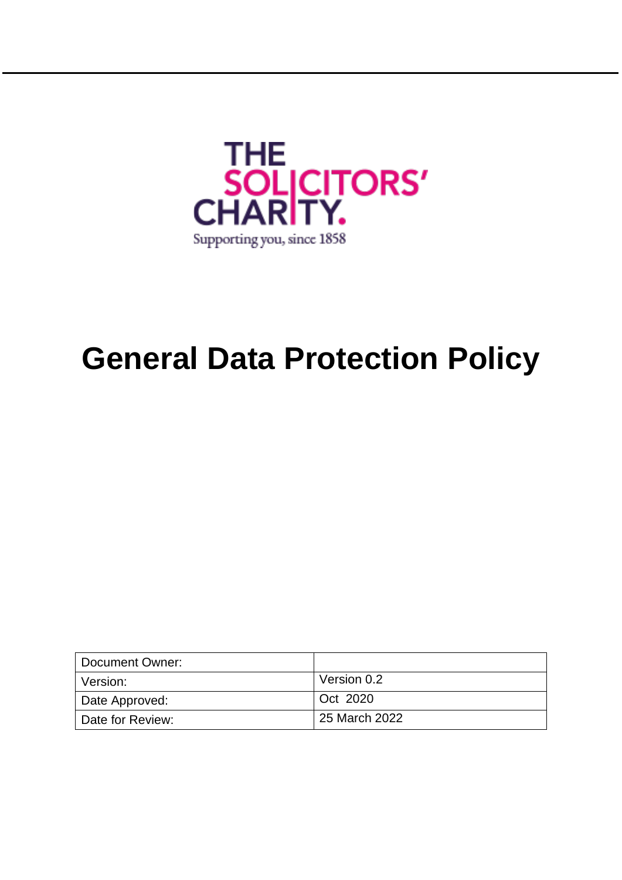

# **General Data Protection Policy**

| Document Owner:  |               |
|------------------|---------------|
| l Version:       | Version 0.2   |
| Date Approved:   | Oct 2020      |
| Date for Review: | 25 March 2022 |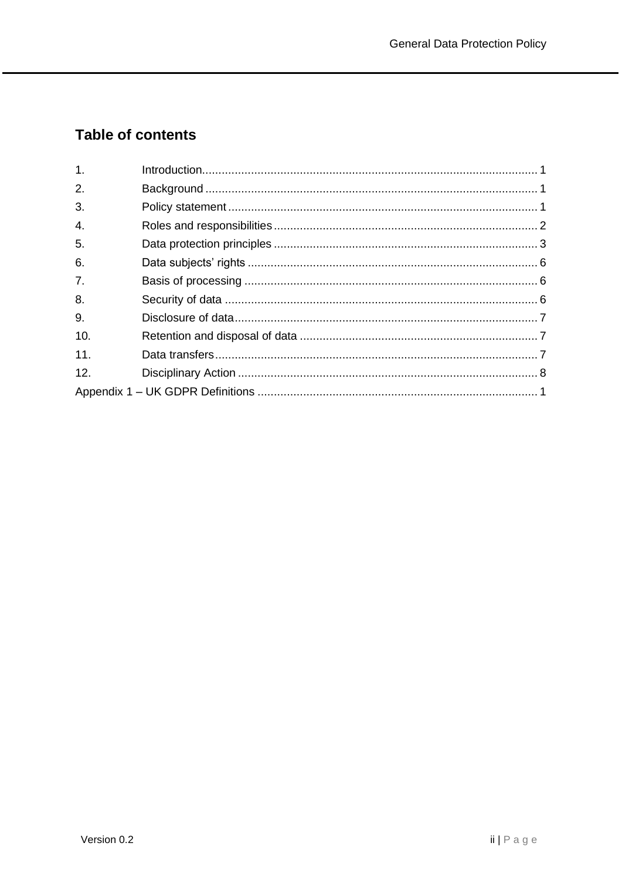# **Table of contents**

| 1.             |  |
|----------------|--|
| 2.             |  |
| 3.             |  |
| 4.             |  |
| 5.             |  |
| 6.             |  |
| 7 <sub>1</sub> |  |
| 8.             |  |
| 9.             |  |
| 10.            |  |
| 11.            |  |
| 12.            |  |
|                |  |
|                |  |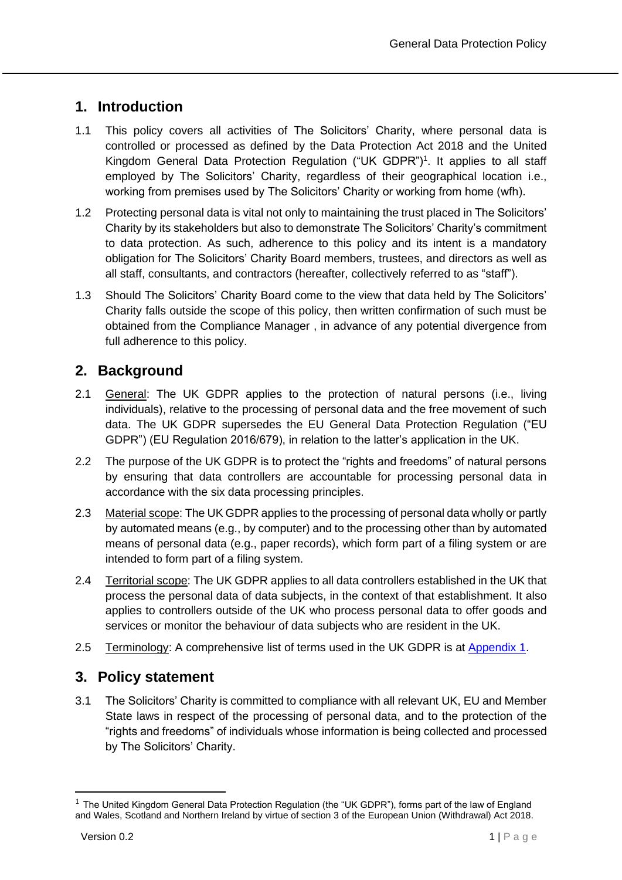# <span id="page-2-0"></span>**1. Introduction**

- 1.1 This policy covers all activities of The Solicitors' Charity, where personal data is controlled or processed as defined by the Data Protection Act 2018 and the United Kingdom General Data Protection Regulation ("UK GDPR") 1 . It applies to all staff employed by The Solicitors' Charity, regardless of their geographical location i.e., working from premises used by The Solicitors' Charity or working from home (wfh).
- 1.2 Protecting personal data is vital not only to maintaining the trust placed in The Solicitors' Charity by its stakeholders but also to demonstrate The Solicitors' Charity's commitment to data protection. As such, adherence to this policy and its intent is a mandatory obligation for The Solicitors' Charity Board members, trustees, and directors as well as all staff, consultants, and contractors (hereafter, collectively referred to as "staff").
- 1.3 Should The Solicitors' Charity Board come to the view that data held by The Solicitors' Charity falls outside the scope of this policy, then written confirmation of such must be obtained from the Compliance Manager , in advance of any potential divergence from full adherence to this policy.

# <span id="page-2-1"></span>**2. Background**

- 2.1 General: The UK GDPR applies to the protection of natural persons (i.e., living individuals), relative to the processing of personal data and the free movement of such data. The UK GDPR supersedes the EU General Data Protection Regulation ("EU GDPR") (EU Regulation 2016/679), in relation to the latter's application in the UK.
- 2.2 The purpose of the UK GDPR is to protect the "rights and freedoms" of natural persons by ensuring that data controllers are accountable for processing personal data in accordance with the six data processing principles.
- 2.3 Material scope: The UK GDPR applies to the processing of personal data wholly or partly by automated means (e.g., by computer) and to the processing other than by automated means of personal data (e.g., paper records), which form part of a filing system or are intended to form part of a filing system.
- 2.4 Territorial scope: The UK GDPR applies to all data controllers established in the UK that process the personal data of data subjects, in the context of that establishment. It also applies to controllers outside of the UK who process personal data to offer goods and services or monitor the behaviour of data subjects who are resident in the UK.
- 2.5 Terminology: A comprehensive list of terms used in the UK GDPR is at [Appendix 1.](#page-10-0)

# <span id="page-2-2"></span>**3. Policy statement**

3.1 The Solicitors' Charity is committed to compliance with all relevant UK, EU and Member State laws in respect of the processing of personal data, and to the protection of the "rights and freedoms" of individuals whose information is being collected and processed by The Solicitors' Charity.

 $<sup>1</sup>$  The United Kingdom General Data Protection Regulation (the "UK GDPR"), forms part of the law of England</sup> and Wales, Scotland and Northern Ireland by virtue of section 3 of the European Union (Withdrawal) Act 2018.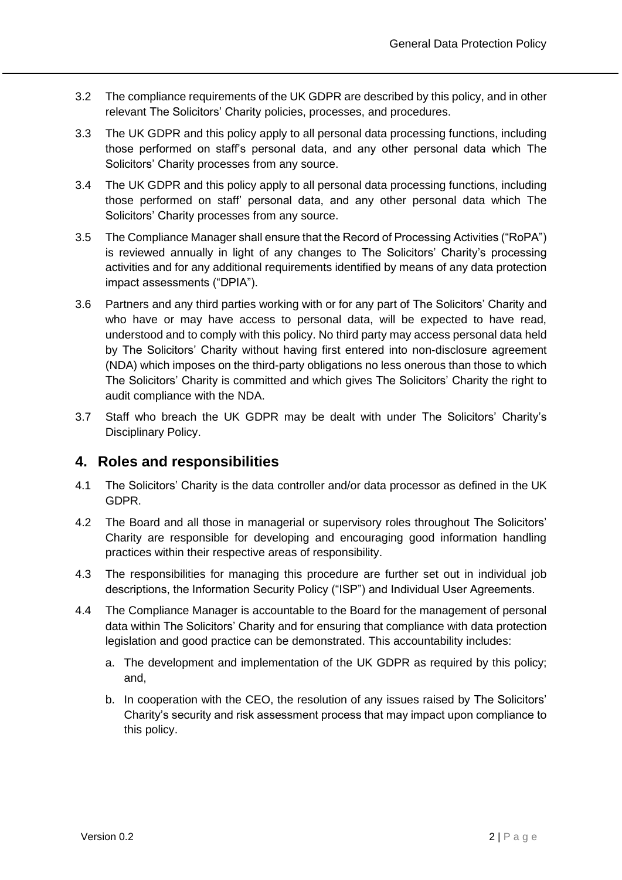- 3.2 The compliance requirements of the UK GDPR are described by this policy, and in other relevant The Solicitors' Charity policies, processes, and procedures.
- 3.3 The UK GDPR and this policy apply to all personal data processing functions, including those performed on staff's personal data, and any other personal data which The Solicitors' Charity processes from any source.
- 3.4 The UK GDPR and this policy apply to all personal data processing functions, including those performed on staff' personal data, and any other personal data which The Solicitors' Charity processes from any source.
- 3.5 The Compliance Manager shall ensure that the Record of Processing Activities ("RoPA") is reviewed annually in light of any changes to The Solicitors' Charity's processing activities and for any additional requirements identified by means of any data protection impact assessments ("DPIA").
- 3.6 Partners and any third parties working with or for any part of The Solicitors' Charity and who have or may have access to personal data, will be expected to have read, understood and to comply with this policy. No third party may access personal data held by The Solicitors' Charity without having first entered into non-disclosure agreement (NDA) which imposes on the third-party obligations no less onerous than those to which The Solicitors' Charity is committed and which gives The Solicitors' Charity the right to audit compliance with the NDA.
- 3.7 Staff who breach the UK GDPR may be dealt with under The Solicitors' Charity's Disciplinary Policy.

#### <span id="page-3-0"></span>**4. Roles and responsibilities**

- 4.1 The Solicitors' Charity is the data controller and/or data processor as defined in the UK GDPR.
- 4.2 The Board and all those in managerial or supervisory roles throughout The Solicitors' Charity are responsible for developing and encouraging good information handling practices within their respective areas of responsibility.
- 4.3 The responsibilities for managing this procedure are further set out in individual job descriptions, the Information Security Policy ("ISP") and Individual User Agreements.
- 4.4 The Compliance Manager is accountable to the Board for the management of personal data within The Solicitors' Charity and for ensuring that compliance with data protection legislation and good practice can be demonstrated. This accountability includes:
	- a. The development and implementation of the UK GDPR as required by this policy; and,
	- b. In cooperation with the CEO, the resolution of any issues raised by The Solicitors' Charity's security and risk assessment process that may impact upon compliance to this policy.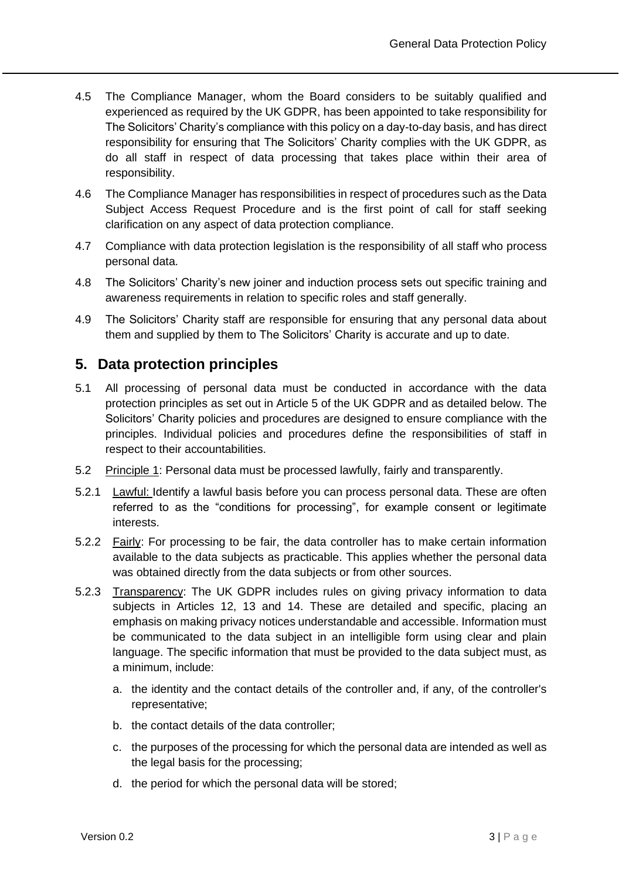- 4.5 The Compliance Manager, whom the Board considers to be suitably qualified and experienced as required by the UK GDPR, has been appointed to take responsibility for The Solicitors' Charity's compliance with this policy on a day-to-day basis, and has direct responsibility for ensuring that The Solicitors' Charity complies with the UK GDPR, as do all staff in respect of data processing that takes place within their area of responsibility.
- 4.6 The Compliance Manager has responsibilities in respect of procedures such as the Data Subject Access Request Procedure and is the first point of call for staff seeking clarification on any aspect of data protection compliance.
- 4.7 Compliance with data protection legislation is the responsibility of all staff who process personal data.
- 4.8 The Solicitors' Charity's new joiner and induction process sets out specific training and awareness requirements in relation to specific roles and staff generally.
- 4.9 The Solicitors' Charity staff are responsible for ensuring that any personal data about them and supplied by them to The Solicitors' Charity is accurate and up to date.

#### <span id="page-4-0"></span>**5. Data protection principles**

- 5.1 All processing of personal data must be conducted in accordance with the data protection principles as set out in Article 5 of the UK GDPR and as detailed below. The Solicitors' Charity policies and procedures are designed to ensure compliance with the principles. Individual policies and procedures define the responsibilities of staff in respect to their accountabilities.
- 5.2 Principle 1: Personal data must be processed lawfully, fairly and transparently.
- 5.2.1 Lawful: Identify a lawful basis before you can process personal data. These are often referred to as the "conditions for processing", for example consent or legitimate interests.
- 5.2.2 Fairly: For processing to be fair, the data controller has to make certain information available to the data subjects as practicable. This applies whether the personal data was obtained directly from the data subjects or from other sources.
- 5.2.3 Transparency: The UK GDPR includes rules on giving privacy information to data subjects in Articles 12, 13 and 14. These are detailed and specific, placing an emphasis on making privacy notices understandable and accessible. Information must be communicated to the data subject in an intelligible form using clear and plain language. The specific information that must be provided to the data subject must, as a minimum, include:
	- a. the identity and the contact details of the controller and, if any, of the controller's representative;
	- b. the contact details of the data controller;
	- c. the purposes of the processing for which the personal data are intended as well as the legal basis for the processing;
	- d. the period for which the personal data will be stored;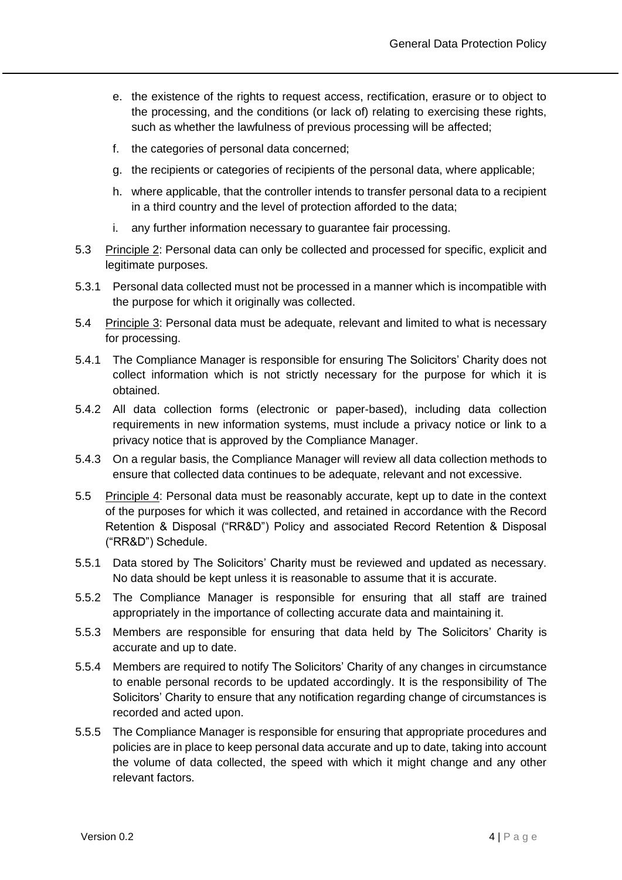- e. the existence of the rights to request access, rectification, erasure or to object to the processing, and the conditions (or lack of) relating to exercising these rights, such as whether the lawfulness of previous processing will be affected;
- f. the categories of personal data concerned;
- g. the recipients or categories of recipients of the personal data, where applicable;
- h. where applicable, that the controller intends to transfer personal data to a recipient in a third country and the level of protection afforded to the data;
- i. any further information necessary to guarantee fair processing.
- 5.3 Principle 2: Personal data can only be collected and processed for specific, explicit and legitimate purposes.
- 5.3.1 Personal data collected must not be processed in a manner which is incompatible with the purpose for which it originally was collected.
- 5.4 Principle 3: Personal data must be adequate, relevant and limited to what is necessary for processing.
- 5.4.1 The Compliance Manager is responsible for ensuring The Solicitors' Charity does not collect information which is not strictly necessary for the purpose for which it is obtained.
- 5.4.2 All data collection forms (electronic or paper-based), including data collection requirements in new information systems, must include a privacy notice or link to a privacy notice that is approved by the Compliance Manager.
- 5.4.3 On a regular basis, the Compliance Manager will review all data collection methods to ensure that collected data continues to be adequate, relevant and not excessive.
- 5.5 Principle 4: Personal data must be reasonably accurate, kept up to date in the context of the purposes for which it was collected, and retained in accordance with the Record Retention & Disposal ("RR&D") Policy and associated Record Retention & Disposal ("RR&D") Schedule.
- 5.5.1 Data stored by The Solicitors' Charity must be reviewed and updated as necessary. No data should be kept unless it is reasonable to assume that it is accurate.
- 5.5.2 The Compliance Manager is responsible for ensuring that all staff are trained appropriately in the importance of collecting accurate data and maintaining it.
- 5.5.3 Members are responsible for ensuring that data held by The Solicitors' Charity is accurate and up to date.
- 5.5.4 Members are required to notify The Solicitors' Charity of any changes in circumstance to enable personal records to be updated accordingly. It is the responsibility of The Solicitors' Charity to ensure that any notification regarding change of circumstances is recorded and acted upon.
- 5.5.5 The Compliance Manager is responsible for ensuring that appropriate procedures and policies are in place to keep personal data accurate and up to date, taking into account the volume of data collected, the speed with which it might change and any other relevant factors.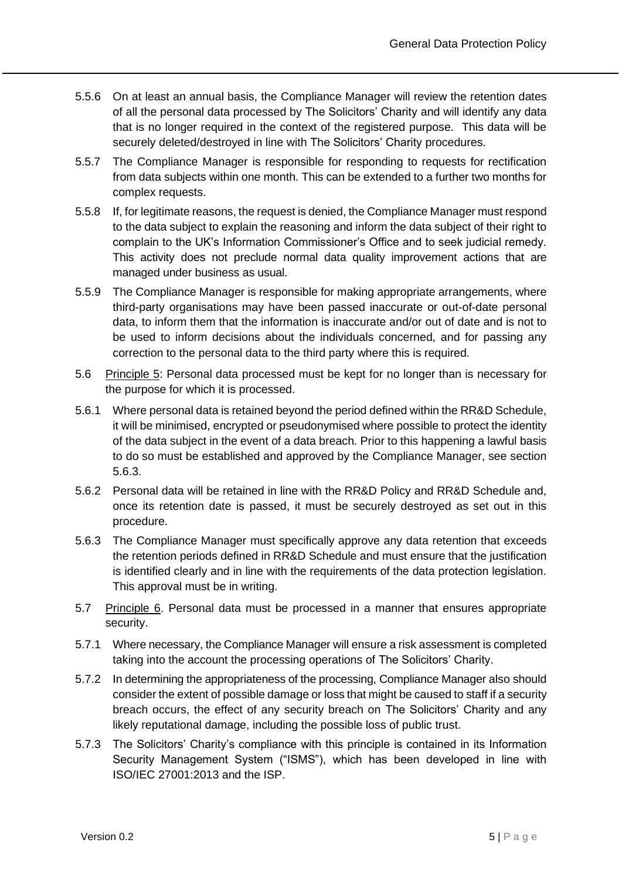- 5.5.6 On at least an annual basis, the Compliance Manager will review the retention dates of all the personal data processed by The Solicitors' Charity and will identify any data that is no longer required in the context of the registered purpose. This data will be securely deleted/destroyed in line with The Solicitors' Charity procedures.
- 5.5.7 The Compliance Manager is responsible for responding to requests for rectification from data subjects within one month. This can be extended to a further two months for complex requests.
- 5.5.8 If, for legitimate reasons, the request is denied, the Compliance Manager must respond to the data subject to explain the reasoning and inform the data subject of their right to complain to the UK's Information Commissioner's Office and to seek judicial remedy. This activity does not preclude normal data quality improvement actions that are managed under business as usual.
- 5.5.9 The Compliance Manager is responsible for making appropriate arrangements, where third-party organisations may have been passed inaccurate or out-of-date personal data, to inform them that the information is inaccurate and/or out of date and is not to be used to inform decisions about the individuals concerned, and for passing any correction to the personal data to the third party where this is required.
- 5.6 Principle 5: Personal data processed must be kept for no longer than is necessary for the purpose for which it is processed.
- 5.6.1 Where personal data is retained beyond the period defined within the RR&D Schedule, it will be minimised, encrypted or pseudonymised where possible to protect the identity of the data subject in the event of a data breach. Prior to this happening a lawful basis to do so must be established and approved by the Compliance Manager, see section 5.6.3.
- 5.6.2 Personal data will be retained in line with the RR&D Policy and RR&D Schedule and, once its retention date is passed, it must be securely destroyed as set out in this procedure.
- 5.6.3 The Compliance Manager must specifically approve any data retention that exceeds the retention periods defined in RR&D Schedule and must ensure that the justification is identified clearly and in line with the requirements of the data protection legislation. This approval must be in writing.
- 5.7 Principle 6. Personal data must be processed in a manner that ensures appropriate security.
- 5.7.1 Where necessary, the Compliance Manager will ensure a risk assessment is completed taking into the account the processing operations of The Solicitors' Charity.
- 5.7.2 In determining the appropriateness of the processing, Compliance Manager also should consider the extent of possible damage or loss that might be caused to staff if a security breach occurs, the effect of any security breach on The Solicitors' Charity and any likely reputational damage, including the possible loss of public trust.
- 5.7.3 The Solicitors' Charity's compliance with this principle is contained in its Information Security Management System ("ISMS"), which has been developed in line with ISO/IEC 27001:2013 and the ISP.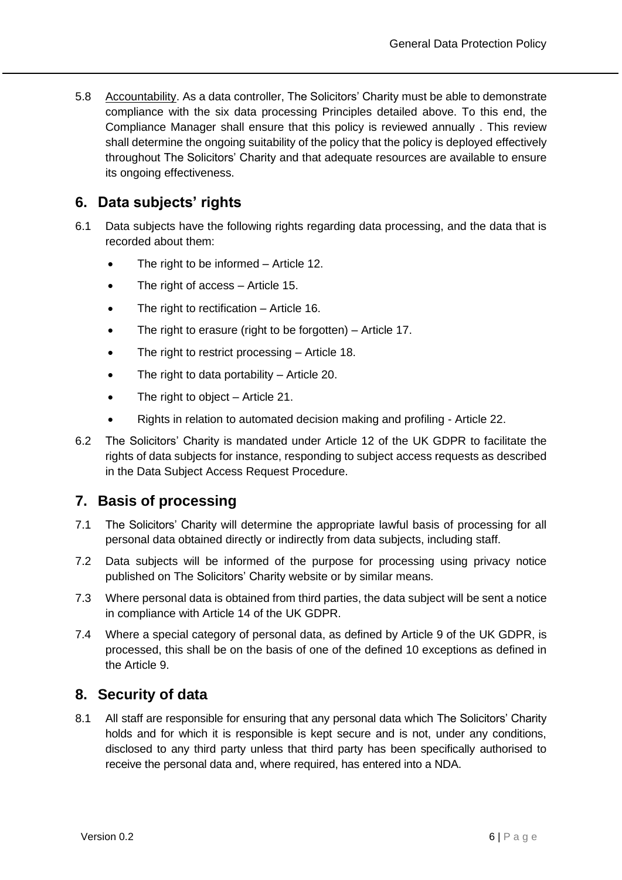5.8 Accountability. As a data controller, The Solicitors' Charity must be able to demonstrate compliance with the six data processing Principles detailed above. To this end, the Compliance Manager shall ensure that this policy is reviewed annually . This review shall determine the ongoing suitability of the policy that the policy is deployed effectively throughout The Solicitors' Charity and that adequate resources are available to ensure its ongoing effectiveness.

#### <span id="page-7-0"></span>**6. Data subjects' rights**

- 6.1 Data subjects have the following rights regarding data processing, and the data that is recorded about them:
	- The right to be informed Article 12.
	- The right of access Article 15.
	- The right to rectification Article 16.
	- The right to erasure (right to be forgotten)  $-$  Article 17.
	- The right to restrict processing Article 18.
	- The right to data portability Article 20.
	- The right to object Article 21.
	- Rights in relation to automated decision making and profiling Article 22.
- 6.2 The Solicitors' Charity is mandated under Article 12 of the UK GDPR to facilitate the rights of data subjects for instance, responding to subject access requests as described in the Data Subject Access Request Procedure.

#### <span id="page-7-1"></span>**7. Basis of processing**

- 7.1 The Solicitors' Charity will determine the appropriate lawful basis of processing for all personal data obtained directly or indirectly from data subjects, including staff.
- 7.2 Data subjects will be informed of the purpose for processing using privacy notice published on The Solicitors' Charity website or by similar means.
- 7.3 Where personal data is obtained from third parties, the data subject will be sent a notice in compliance with Article 14 of the UK GDPR.
- 7.4 Where a special category of personal data, as defined by Article 9 of the UK GDPR, is processed, this shall be on the basis of one of the defined 10 exceptions as defined in the Article 9.

#### <span id="page-7-2"></span>**8. Security of data**

8.1 All staff are responsible for ensuring that any personal data which The Solicitors' Charity holds and for which it is responsible is kept secure and is not, under any conditions, disclosed to any third party unless that third party has been specifically authorised to receive the personal data and, where required, has entered into a NDA.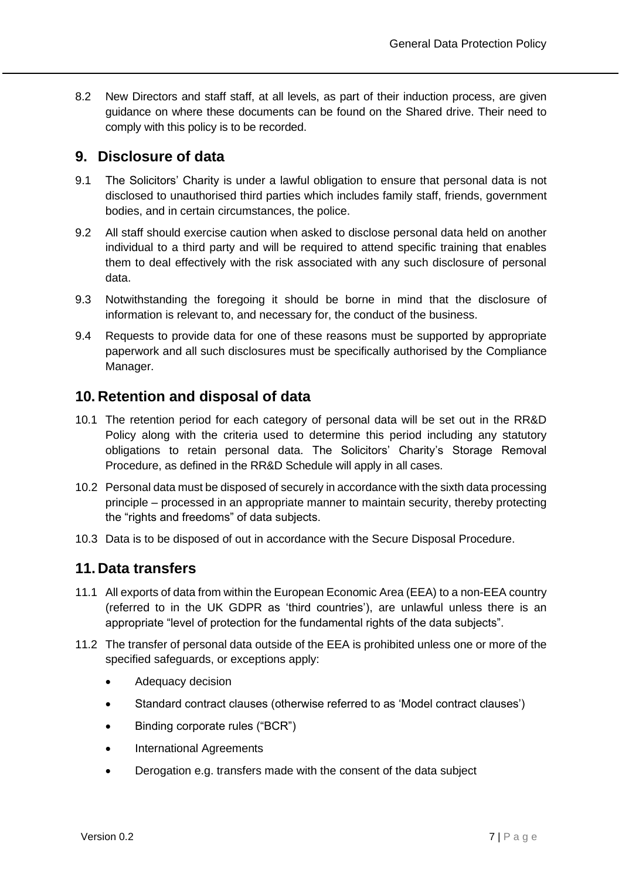8.2 New Directors and staff staff, at all levels, as part of their induction process, are given guidance on where these documents can be found on the Shared drive. Their need to comply with this policy is to be recorded.

#### <span id="page-8-0"></span>**9. Disclosure of data**

- 9.1 The Solicitors' Charity is under a lawful obligation to ensure that personal data is not disclosed to unauthorised third parties which includes family staff, friends, government bodies, and in certain circumstances, the police.
- 9.2 All staff should exercise caution when asked to disclose personal data held on another individual to a third party and will be required to attend specific training that enables them to deal effectively with the risk associated with any such disclosure of personal data.
- 9.3 Notwithstanding the foregoing it should be borne in mind that the disclosure of information is relevant to, and necessary for, the conduct of the business.
- 9.4 Requests to provide data for one of these reasons must be supported by appropriate paperwork and all such disclosures must be specifically authorised by the Compliance Manager.

#### <span id="page-8-1"></span>**10. Retention and disposal of data**

- 10.1 The retention period for each category of personal data will be set out in the RR&D Policy along with the criteria used to determine this period including any statutory obligations to retain personal data. The Solicitors' Charity's Storage Removal Procedure, as defined in the RR&D Schedule will apply in all cases.
- 10.2 Personal data must be disposed of securely in accordance with the sixth data processing principle – processed in an appropriate manner to maintain security, thereby protecting the "rights and freedoms" of data subjects.
- 10.3 Data is to be disposed of out in accordance with the Secure Disposal Procedure.

#### <span id="page-8-2"></span>**11. Data transfers**

- 11.1 All exports of data from within the European Economic Area (EEA) to a non-EEA country (referred to in the UK GDPR as 'third countries'), are unlawful unless there is an appropriate "level of protection for the fundamental rights of the data subjects".
- 11.2 The transfer of personal data outside of the EEA is prohibited unless one or more of the specified safeguards, or exceptions apply:
	- Adequacy decision
	- Standard contract clauses (otherwise referred to as 'Model contract clauses')
	- Binding corporate rules ("BCR")
	- International Agreements
	- Derogation e.g. transfers made with the consent of the data subject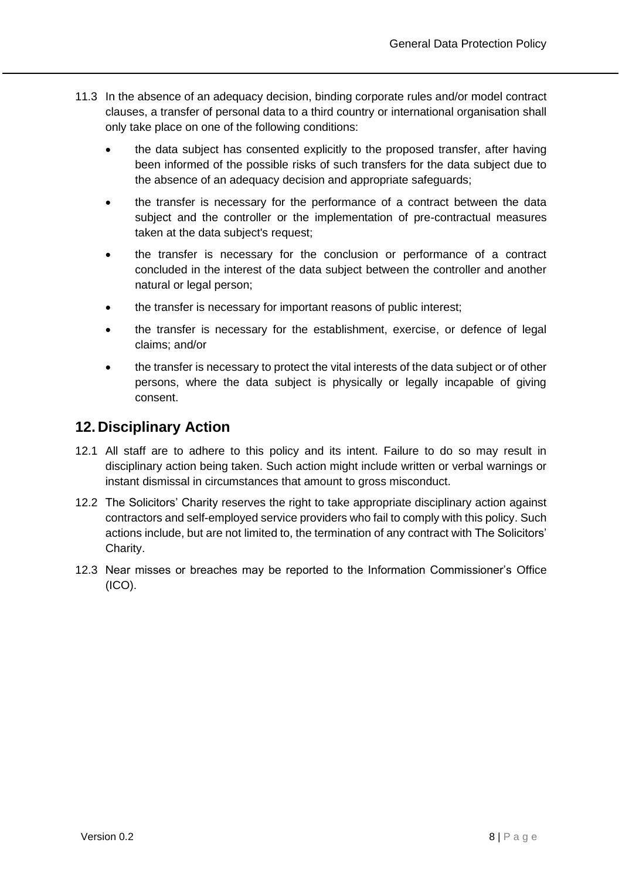- 11.3 In the absence of an adequacy decision, binding corporate rules and/or model contract clauses, a transfer of personal data to a third country or international organisation shall only take place on one of the following conditions:
	- the data subject has consented explicitly to the proposed transfer, after having been informed of the possible risks of such transfers for the data subject due to the absence of an adequacy decision and appropriate safeguards;
	- the transfer is necessary for the performance of a contract between the data subject and the controller or the implementation of pre-contractual measures taken at the data subject's request;
	- the transfer is necessary for the conclusion or performance of a contract concluded in the interest of the data subject between the controller and another natural or legal person;
	- the transfer is necessary for important reasons of public interest;
	- the transfer is necessary for the establishment, exercise, or defence of legal claims; and/or
	- the transfer is necessary to protect the vital interests of the data subject or of other persons, where the data subject is physically or legally incapable of giving consent.

#### <span id="page-9-0"></span>**12. Disciplinary Action**

- 12.1 All staff are to adhere to this policy and its intent. Failure to do so may result in disciplinary action being taken. Such action might include written or verbal warnings or instant dismissal in circumstances that amount to gross misconduct.
- 12.2 The Solicitors' Charity reserves the right to take appropriate disciplinary action against contractors and self-employed service providers who fail to comply with this policy. Such actions include, but are not limited to, the termination of any contract with The Solicitors' Charity.
- 12.3 Near misses or breaches may be reported to the Information Commissioner's Office (ICO).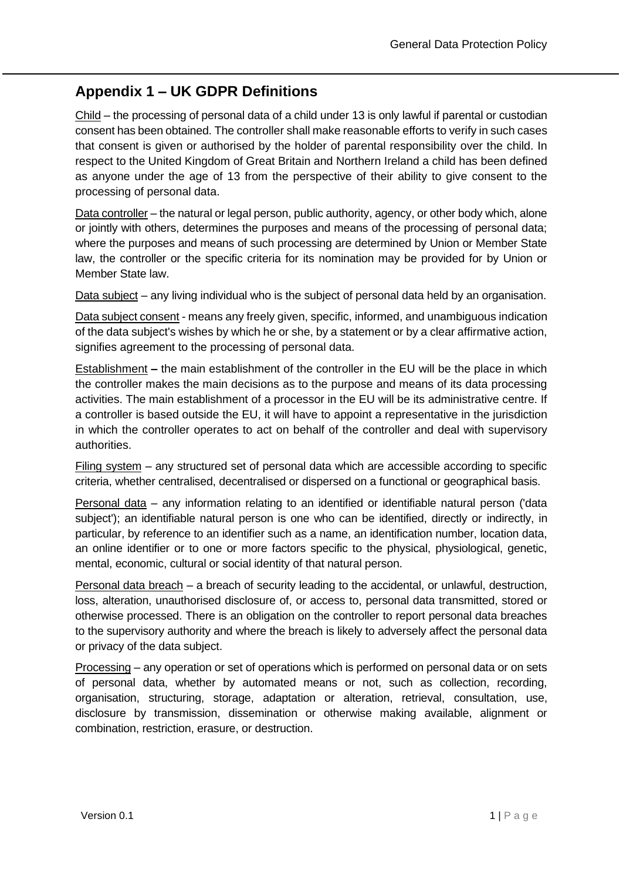# <span id="page-10-0"></span>**Appendix 1 – UK GDPR Definitions**

Child – the processing of personal data of a child under 13 is only lawful if parental or custodian consent has been obtained. The controller shall make reasonable efforts to verify in such cases that consent is given or authorised by the holder of parental responsibility over the child. In respect to the United Kingdom of Great Britain and Northern Ireland a child has been defined as anyone under the age of 13 from the perspective of their ability to give consent to the processing of personal data.

Data controller – the natural or legal person, public authority, agency, or other body which, alone or jointly with others, determines the purposes and means of the processing of personal data; where the purposes and means of such processing are determined by Union or Member State law, the controller or the specific criteria for its nomination may be provided for by Union or Member State law.

Data subject – any living individual who is the subject of personal data held by an organisation.

Data subject consent - means any freely given, specific, informed, and unambiguous indication of the data subject's wishes by which he or she, by a statement or by a clear affirmative action, signifies agreement to the processing of personal data.

Establishment **–** the main establishment of the controller in the EU will be the place in which the controller makes the main decisions as to the purpose and means of its data processing activities. The main establishment of a processor in the EU will be its administrative centre. If a controller is based outside the EU, it will have to appoint a representative in the jurisdiction in which the controller operates to act on behalf of the controller and deal with supervisory authorities.

Filing system – any structured set of personal data which are accessible according to specific criteria, whether centralised, decentralised or dispersed on a functional or geographical basis.

Personal data – any information relating to an identified or identifiable natural person ('data subject'); an identifiable natural person is one who can be identified, directly or indirectly, in particular, by reference to an identifier such as a name, an identification number, location data, an online identifier or to one or more factors specific to the physical, physiological, genetic, mental, economic, cultural or social identity of that natural person.

Personal data breach – a breach of security leading to the accidental, or unlawful, destruction, loss, alteration, unauthorised disclosure of, or access to, personal data transmitted, stored or otherwise processed. There is an obligation on the controller to report personal data breaches to the supervisory authority and where the breach is likely to adversely affect the personal data or privacy of the data subject.

Processing – any operation or set of operations which is performed on personal data or on sets of personal data, whether by automated means or not, such as collection, recording, organisation, structuring, storage, adaptation or alteration, retrieval, consultation, use, disclosure by transmission, dissemination or otherwise making available, alignment or combination, restriction, erasure, or destruction.